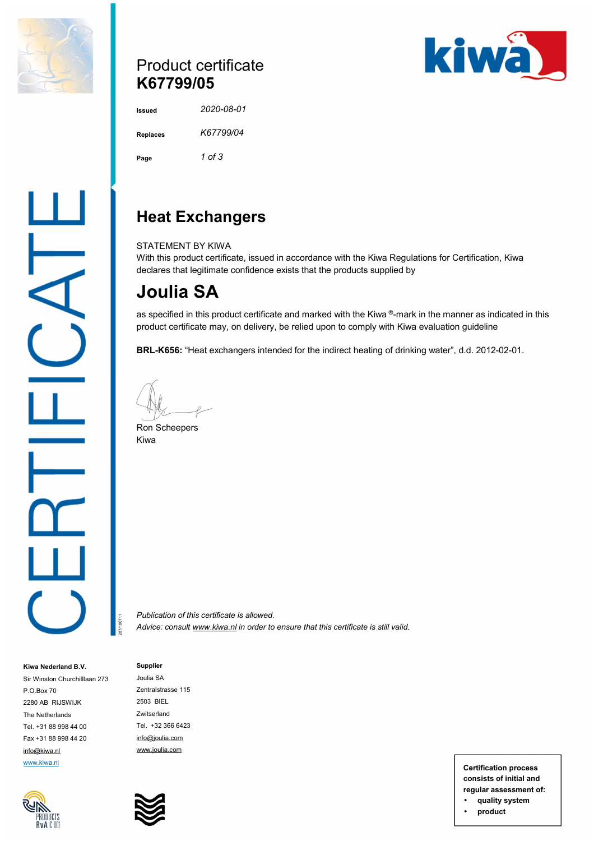

## Product certificate **K67799/05**



**Issued** *2020-08-01*  **Replaces** *K67799/04*  **Page** *1 of 3* 

# **Heat Exchangers**

STATEMENT BY KIWA

With this product certificate, issued in accordance with the Kiwa Regulations for Certification, Kiwa declares that legitimate confidence exists that the products supplied by

# **Joulia SA**

as specified in this product certificate and marked with the Kiwa  $^{\circledR}$ -mark in the manner as indicated in this product certificate may, on delivery, be relied upon to comply with Kiwa evaluation guideline

**BRL-K656:** "Heat exchangers intended for the indirect heating of drinking water", d.d. 2012-02-01.

Ron Scheepers Kiwa

*Publication of this certificate is allowed. Advice: consult [www.kiwa.nl](http://www.kiwa.nl) in order to ensure that this certificate is still valid.*

**Kiwa Nederland B.V.**  Sir Winston Churchilllaan 273 P.O.Box 70 2280 AB RIJSWIJK The Netherlands Tel. +31 88 998 44 00 Fax +31 88 998 44 20 [info@kiwa.nl](mailto:info@kiwa.nl) [www.kiwa.nl](http://www.kiwa.nl)



Joulia SA Zentralstrasse 115 2503 BIEL Zwitserland Tel. +32 366 6423 [info@joulia.com](mailto:info@joulia.com) [www.joulia.com](http://www.joulia.com)

**Supplier** 

287/180711

**Certification process consists of initial and regular assessment of:** 

- **quality system**
- **product**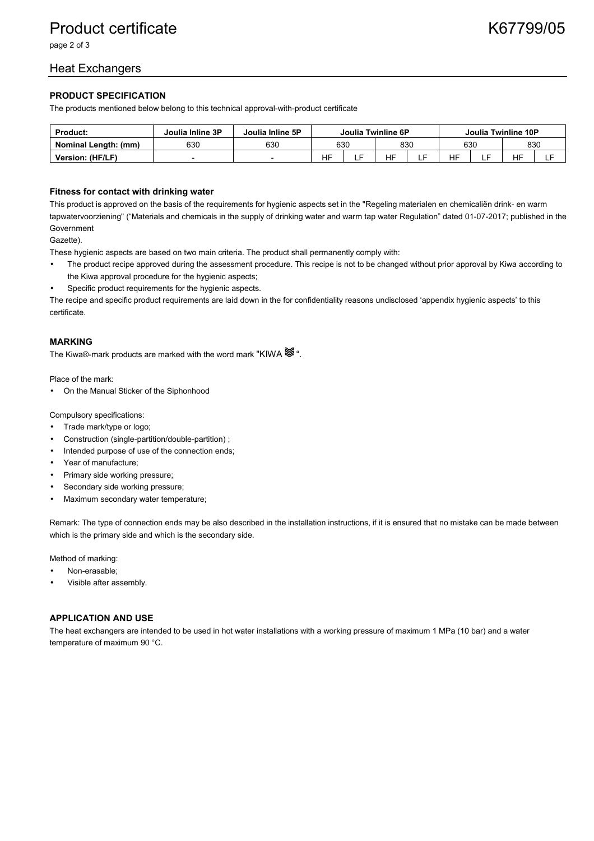page 2 of 3

### Heat Exchangers

#### **PRODUCT SPECIFICATION**

The products mentioned below belong to this technical approval-with-product certificate

| <b>Product:</b>             | Joulia Inline 3P | Joulia Inline 5P | Joulia Twinline 6P |  |     |        | Joulia Twinline 10P |  |           |    |
|-----------------------------|------------------|------------------|--------------------|--|-----|--------|---------------------|--|-----------|----|
| <b>Nominal Length: (mm)</b> | 630              | 630              | 630                |  | 830 |        | 630                 |  | 830       |    |
| Version: (HF/LF)            |                  | -                | <b>HF</b>          |  | HF  | -<br>- | <b>HF</b>           |  | <b>HF</b> | -- |

#### **Fitness for contact with drinking water**

This product is approved on the basis of the requirements for hygienic aspects set in the "Regeling materialen en chemicaliën drink- en warm tapwatervoorziening" ("Materials and chemicals in the supply of drinking water and warm tap water Regulation" dated 01-07-2017; published in the Government

Gazette).

These hygienic aspects are based on two main criteria. The product shall permanently comply with:

- The product recipe approved during the assessment procedure. This recipe is not to be changed without prior approval by Kiwa according to the Kiwa approval procedure for the hygienic aspects;
- Specific product requirements for the hygienic aspects.

The recipe and specific product requirements are laid down in the for confidentiality reasons undisclosed 'appendix hygienic aspects' to this certificate.

#### **MARKING**

The Kiwa®-mark products are marked with the word mark "KIWA  $\mathcal{F}$ ".

Place of the mark:

• On the Manual Sticker of the Siphonhood

Compulsory specifications:

- Trade mark/type or logo;
- Construction (single-partition/double-partition) ;
- Intended purpose of use of the connection ends;
- Year of manufacture;
- Primary side working pressure;
- Secondary side working pressure;
- Maximum secondary water temperature;

Remark: The type of connection ends may be also described in the installation instructions, if it is ensured that no mistake can be made between which is the primary side and which is the secondary side.

Method of marking:

- Non-erasable;
- Visible after assembly.

#### **APPLICATION AND USE**

The heat exchangers are intended to be used in hot water installations with a working pressure of maximum 1 MPa (10 bar) and a water temperature of maximum 90 °C.